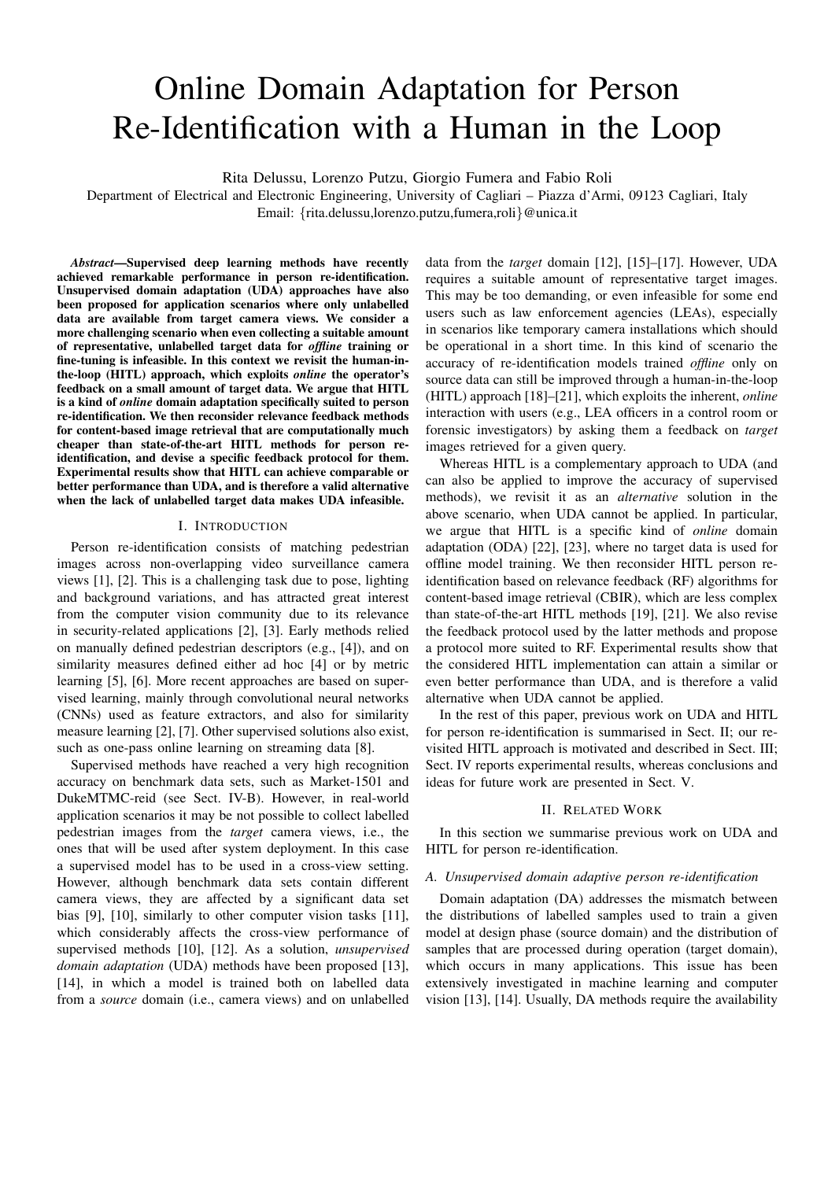# Online Domain Adaptation for Person Re-Identification with a Human in the Loop

Rita Delussu, Lorenzo Putzu, Giorgio Fumera and Fabio Roli

Department of Electrical and Electronic Engineering, University of Cagliari – Piazza d'Armi, 09123 Cagliari, Italy Email: {rita.delussu,lorenzo.putzu,fumera,roli}@unica.it

*Abstract*—Supervised deep learning methods have recently achieved remarkable performance in person re-identification. Unsupervised domain adaptation (UDA) approaches have also been proposed for application scenarios where only unlabelled data are available from target camera views. We consider a more challenging scenario when even collecting a suitable amount of representative, unlabelled target data for *offline* training or fine-tuning is infeasible. In this context we revisit the human-inthe-loop (HITL) approach, which exploits *online* the operator's feedback on a small amount of target data. We argue that HITL is a kind of *online* domain adaptation specifically suited to person re-identification. We then reconsider relevance feedback methods for content-based image retrieval that are computationally much cheaper than state-of-the-art HITL methods for person reidentification, and devise a specific feedback protocol for them. Experimental results show that HITL can achieve comparable or better performance than UDA, and is therefore a valid alternative when the lack of unlabelled target data makes UDA infeasible.

# I. INTRODUCTION

Person re-identification consists of matching pedestrian images across non-overlapping video surveillance camera views [1], [2]. This is a challenging task due to pose, lighting and background variations, and has attracted great interest from the computer vision community due to its relevance in security-related applications [2], [3]. Early methods relied on manually defined pedestrian descriptors (e.g., [4]), and on similarity measures defined either ad hoc [4] or by metric learning [5], [6]. More recent approaches are based on supervised learning, mainly through convolutional neural networks (CNNs) used as feature extractors, and also for similarity measure learning [2], [7]. Other supervised solutions also exist, such as one-pass online learning on streaming data [8].

Supervised methods have reached a very high recognition accuracy on benchmark data sets, such as Market-1501 and DukeMTMC-reid (see Sect. IV-B). However, in real-world application scenarios it may be not possible to collect labelled pedestrian images from the *target* camera views, i.e., the ones that will be used after system deployment. In this case a supervised model has to be used in a cross-view setting. However, although benchmark data sets contain different camera views, they are affected by a significant data set bias [9], [10], similarly to other computer vision tasks [11], which considerably affects the cross-view performance of supervised methods [10], [12]. As a solution, *unsupervised domain adaptation* (UDA) methods have been proposed [13], [14], in which a model is trained both on labelled data from a *source* domain (i.e., camera views) and on unlabelled

data from the *target* domain [12], [15]–[17]. However, UDA requires a suitable amount of representative target images. This may be too demanding, or even infeasible for some end users such as law enforcement agencies (LEAs), especially in scenarios like temporary camera installations which should be operational in a short time. In this kind of scenario the accuracy of re-identification models trained *offline* only on source data can still be improved through a human-in-the-loop (HITL) approach [18]–[21], which exploits the inherent, *online* interaction with users (e.g., LEA officers in a control room or forensic investigators) by asking them a feedback on *target* images retrieved for a given query.

Whereas HITL is a complementary approach to UDA (and can also be applied to improve the accuracy of supervised methods), we revisit it as an *alternative* solution in the above scenario, when UDA cannot be applied. In particular, we argue that HITL is a specific kind of *online* domain adaptation (ODA) [22], [23], where no target data is used for offline model training. We then reconsider HITL person reidentification based on relevance feedback (RF) algorithms for content-based image retrieval (CBIR), which are less complex than state-of-the-art HITL methods [19], [21]. We also revise the feedback protocol used by the latter methods and propose a protocol more suited to RF. Experimental results show that the considered HITL implementation can attain a similar or even better performance than UDA, and is therefore a valid alternative when UDA cannot be applied.

In the rest of this paper, previous work on UDA and HITL for person re-identification is summarised in Sect. II; our revisited HITL approach is motivated and described in Sect. III; Sect. IV reports experimental results, whereas conclusions and ideas for future work are presented in Sect. V.

#### II. RELATED WORK

In this section we summarise previous work on UDA and HITL for person re-identification.

## *A. Unsupervised domain adaptive person re-identification*

Domain adaptation (DA) addresses the mismatch between the distributions of labelled samples used to train a given model at design phase (source domain) and the distribution of samples that are processed during operation (target domain), which occurs in many applications. This issue has been extensively investigated in machine learning and computer vision [13], [14]. Usually, DA methods require the availability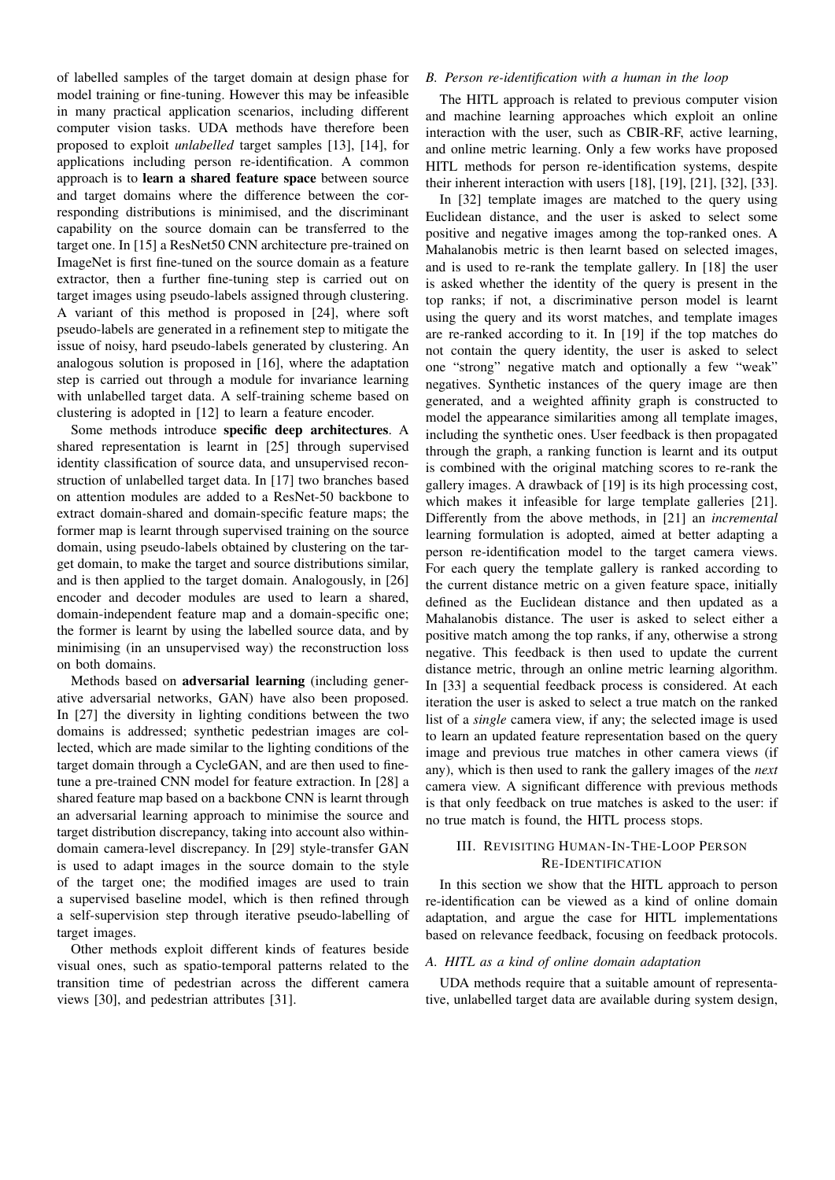of labelled samples of the target domain at design phase for model training or fine-tuning. However this may be infeasible in many practical application scenarios, including different computer vision tasks. UDA methods have therefore been proposed to exploit *unlabelled* target samples [13], [14], for applications including person re-identification. A common approach is to learn a shared feature space between source and target domains where the difference between the corresponding distributions is minimised, and the discriminant capability on the source domain can be transferred to the target one. In [15] a ResNet50 CNN architecture pre-trained on ImageNet is first fine-tuned on the source domain as a feature extractor, then a further fine-tuning step is carried out on target images using pseudo-labels assigned through clustering. A variant of this method is proposed in [24], where soft pseudo-labels are generated in a refinement step to mitigate the issue of noisy, hard pseudo-labels generated by clustering. An analogous solution is proposed in [16], where the adaptation step is carried out through a module for invariance learning with unlabelled target data. A self-training scheme based on clustering is adopted in [12] to learn a feature encoder.

Some methods introduce specific deep architectures. A shared representation is learnt in [25] through supervised identity classification of source data, and unsupervised reconstruction of unlabelled target data. In [17] two branches based on attention modules are added to a ResNet-50 backbone to extract domain-shared and domain-specific feature maps; the former map is learnt through supervised training on the source domain, using pseudo-labels obtained by clustering on the target domain, to make the target and source distributions similar, and is then applied to the target domain. Analogously, in [26] encoder and decoder modules are used to learn a shared, domain-independent feature map and a domain-specific one; the former is learnt by using the labelled source data, and by minimising (in an unsupervised way) the reconstruction loss on both domains.

Methods based on adversarial learning (including generative adversarial networks, GAN) have also been proposed. In [27] the diversity in lighting conditions between the two domains is addressed; synthetic pedestrian images are collected, which are made similar to the lighting conditions of the target domain through a CycleGAN, and are then used to finetune a pre-trained CNN model for feature extraction. In [28] a shared feature map based on a backbone CNN is learnt through an adversarial learning approach to minimise the source and target distribution discrepancy, taking into account also withindomain camera-level discrepancy. In [29] style-transfer GAN is used to adapt images in the source domain to the style of the target one; the modified images are used to train a supervised baseline model, which is then refined through a self-supervision step through iterative pseudo-labelling of target images.

Other methods exploit different kinds of features beside visual ones, such as spatio-temporal patterns related to the transition time of pedestrian across the different camera views [30], and pedestrian attributes [31].

## *B. Person re-identification with a human in the loop*

The HITL approach is related to previous computer vision and machine learning approaches which exploit an online interaction with the user, such as CBIR-RF, active learning, and online metric learning. Only a few works have proposed HITL methods for person re-identification systems, despite their inherent interaction with users [18], [19], [21], [32], [33].

In [32] template images are matched to the query using Euclidean distance, and the user is asked to select some positive and negative images among the top-ranked ones. A Mahalanobis metric is then learnt based on selected images, and is used to re-rank the template gallery. In [18] the user is asked whether the identity of the query is present in the top ranks; if not, a discriminative person model is learnt using the query and its worst matches, and template images are re-ranked according to it. In [19] if the top matches do not contain the query identity, the user is asked to select one "strong" negative match and optionally a few "weak" negatives. Synthetic instances of the query image are then generated, and a weighted affinity graph is constructed to model the appearance similarities among all template images, including the synthetic ones. User feedback is then propagated through the graph, a ranking function is learnt and its output is combined with the original matching scores to re-rank the gallery images. A drawback of [19] is its high processing cost, which makes it infeasible for large template galleries [21]. Differently from the above methods, in [21] an *incremental* learning formulation is adopted, aimed at better adapting a person re-identification model to the target camera views. For each query the template gallery is ranked according to the current distance metric on a given feature space, initially defined as the Euclidean distance and then updated as a Mahalanobis distance. The user is asked to select either a positive match among the top ranks, if any, otherwise a strong negative. This feedback is then used to update the current distance metric, through an online metric learning algorithm. In [33] a sequential feedback process is considered. At each iteration the user is asked to select a true match on the ranked list of a *single* camera view, if any; the selected image is used to learn an updated feature representation based on the query image and previous true matches in other camera views (if any), which is then used to rank the gallery images of the *next* camera view. A significant difference with previous methods is that only feedback on true matches is asked to the user: if no true match is found, the HITL process stops.

# III. REVISITING HUMAN-IN-THE-LOOP PERSON RE-IDENTIFICATION

In this section we show that the HITL approach to person re-identification can be viewed as a kind of online domain adaptation, and argue the case for HITL implementations based on relevance feedback, focusing on feedback protocols.

## *A. HITL as a kind of online domain adaptation*

UDA methods require that a suitable amount of representative, unlabelled target data are available during system design,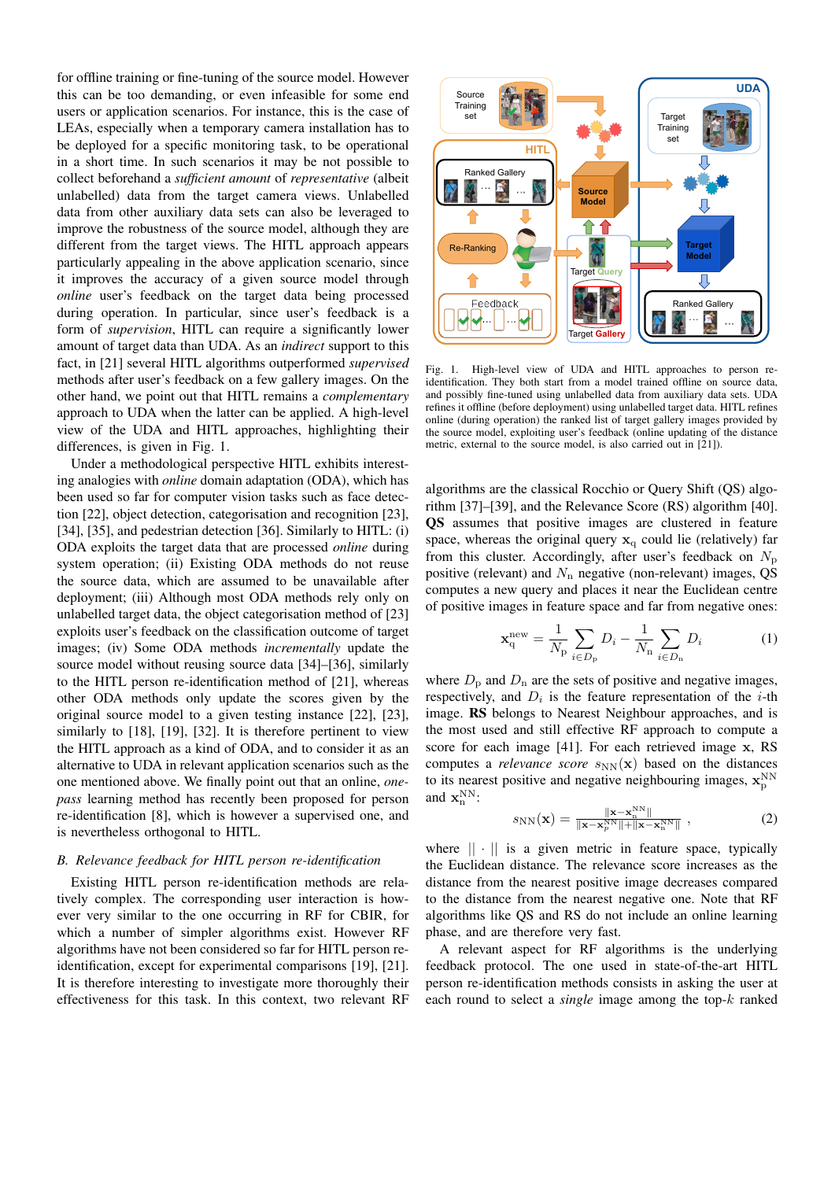for offline training or fine-tuning of the source model. However this can be too demanding, or even infeasible for some end users or application scenarios. For instance, this is the case of LEAs, especially when a temporary camera installation has to be deployed for a specific monitoring task, to be operational in a short time. In such scenarios it may be not possible to collect beforehand a *sufficient amount* of *representative* (albeit unlabelled) data from the target camera views. Unlabelled data from other auxiliary data sets can also be leveraged to improve the robustness of the source model, although they are different from the target views. The HITL approach appears particularly appealing in the above application scenario, since it improves the accuracy of a given source model through *online* user's feedback on the target data being processed during operation. In particular, since user's feedback is a form of *supervision*, HITL can require a significantly lower amount of target data than UDA. As an *indirect* support to this fact, in [21] several HITL algorithms outperformed *supervised* methods after user's feedback on a few gallery images. On the other hand, we point out that HITL remains a *complementary* approach to UDA when the latter can be applied. A high-level view of the UDA and HITL approaches, highlighting their differences, is given in Fig. 1.

Under a methodological perspective HITL exhibits interesting analogies with *online* domain adaptation (ODA), which has been used so far for computer vision tasks such as face detection [22], object detection, categorisation and recognition [23], [34], [35], and pedestrian detection [36]. Similarly to HITL: (i) ODA exploits the target data that are processed *online* during system operation; (ii) Existing ODA methods do not reuse the source data, which are assumed to be unavailable after deployment; (iii) Although most ODA methods rely only on unlabelled target data, the object categorisation method of [23] exploits user's feedback on the classification outcome of target images; (iv) Some ODA methods *incrementally* update the source model without reusing source data [34]–[36], similarly to the HITL person re-identification method of [21], whereas other ODA methods only update the scores given by the original source model to a given testing instance [22], [23], similarly to [18], [19], [32]. It is therefore pertinent to view the HITL approach as a kind of ODA, and to consider it as an alternative to UDA in relevant application scenarios such as the one mentioned above. We finally point out that an online, *onepass* learning method has recently been proposed for person re-identification [8], which is however a supervised one, and is nevertheless orthogonal to HITL.

#### *B. Relevance feedback for HITL person re-identification*

Existing HITL person re-identification methods are relatively complex. The corresponding user interaction is however very similar to the one occurring in RF for CBIR, for which a number of simpler algorithms exist. However RF algorithms have not been considered so far for HITL person reidentification, except for experimental comparisons [19], [21]. It is therefore interesting to investigate more thoroughly their effectiveness for this task. In this context, two relevant RF



Fig. 1. High-level view of UDA and HITL approaches to person reidentification. They both start from a model trained offline on source data, and possibly fine-tuned using unlabelled data from auxiliary data sets. UDA refines it offline (before deployment) using unlabelled target data. HITL refines online (during operation) the ranked list of target gallery images provided by the source model, exploiting user's feedback (online updating of the distance metric, external to the source model, is also carried out in [21]).

algorithms are the classical Rocchio or Query Shift (QS) algorithm [37]–[39], and the Relevance Score (RS) algorithm [40]. QS assumes that positive images are clustered in feature space, whereas the original query  $x_q$  could lie (relatively) far from this cluster. Accordingly, after user's feedback on  $N_{\rm p}$ positive (relevant) and  $N_n$  negative (non-relevant) images, QS computes a new query and places it near the Euclidean centre of positive images in feature space and far from negative ones:

$$
\mathbf{x}_{\mathrm{q}}^{\mathrm{new}} = \frac{1}{N_{\mathrm{p}}} \sum_{i \in D_{\mathrm{p}}} D_i - \frac{1}{N_{\mathrm{n}}} \sum_{i \in D_{\mathrm{n}}} D_i \tag{1}
$$

where  $D_p$  and  $D_n$  are the sets of positive and negative images, respectively, and  $D_i$  is the feature representation of the *i*-th image. RS belongs to Nearest Neighbour approaches, and is the most used and still effective RF approach to compute a score for each image [41]. For each retrieved image x, RS computes a *relevance score*  $s_{NN}(\mathbf{x})$  based on the distances to its nearest positive and negative neighbouring images,  $\mathbf{x}_{\mathrm{p}}^{\mathrm{NN}}$ and  $\mathbf{x}_n^{NN}$ :

$$
s_{\rm NN}(\mathbf{x}) = \frac{\|\mathbf{x} - \mathbf{x}_{\rm n}^{\rm NN}\|}{\|\mathbf{x} - \mathbf{x}_{\rm p}^{\rm NN}\| + \|\mathbf{x} - \mathbf{x}_{\rm n}^{\rm NN}\|},\tag{2}
$$

where  $|| \cdot ||$  is a given metric in feature space, typically the Euclidean distance. The relevance score increases as the distance from the nearest positive image decreases compared to the distance from the nearest negative one. Note that RF algorithms like QS and RS do not include an online learning phase, and are therefore very fast.

A relevant aspect for RF algorithms is the underlying feedback protocol. The one used in state-of-the-art HITL person re-identification methods consists in asking the user at each round to select a *single* image among the top-k ranked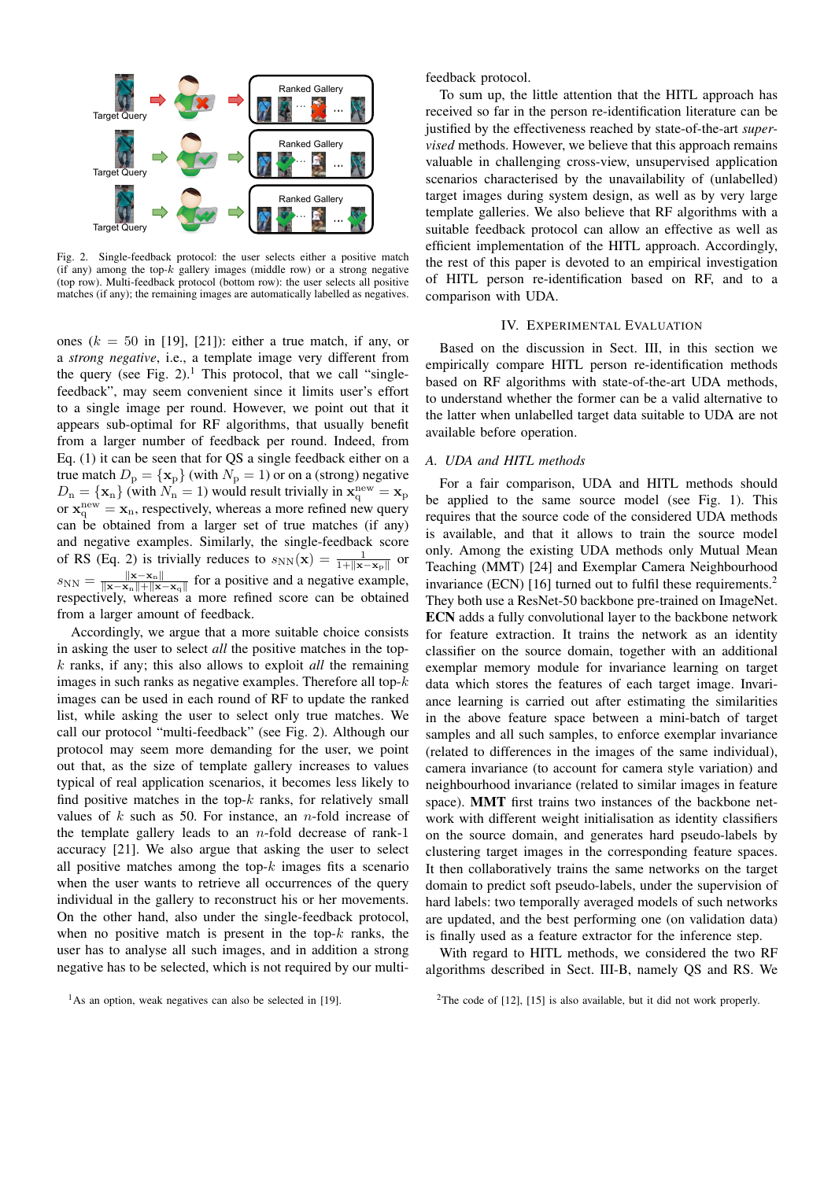

Fig. 2. Single-feedback protocol: the user selects either a positive match (if any) among the top- $k$  gallery images (middle row) or a strong negative (top row). Multi-feedback protocol (bottom row): the user selects all positive matches (if any); the remaining images are automatically labelled as negatives.

ones  $(k = 50$  in [19], [21]): either a true match, if any, or a *strong negative*, i.e., a template image very different from the query (see Fig.  $2$ ).<sup>1</sup> This protocol, that we call "singlefeedback", may seem convenient since it limits user's effort to a single image per round. However, we point out that it appears sub-optimal for RF algorithms, that usually benefit from a larger number of feedback per round. Indeed, from Eq. (1) it can be seen that for QS a single feedback either on a true match  $D_{\rm p} = {\{ \bf x_{\rm p} \}}$  (with  $N_{\rm p} = 1$ ) or on a (strong) negative  $D_n = {\mathbf{x}_n}$  (with  $N_n = 1$ ) would result trivially in  $\mathbf{x}_q^{\text{new}} = \mathbf{x}_p$ or  $\mathbf{x}_q^{\text{new}} = \mathbf{x}_n$ , respectively, whereas a more refined new query can be obtained from a larger set of true matches (if any) and negative examples. Similarly, the single-feedback score of RS (Eq. 2) is trivially reduces to  $s_{NN}(\mathbf{x}) = \frac{1}{1 + ||\mathbf{x} - \mathbf{x}_p||}$  or  $s_{\text{NN}} = \frac{\|\mathbf{x}-\mathbf{x}_{\text{n}}\|}{\|\mathbf{x}-\mathbf{x}_{\text{n}}\|+\|\mathbf{x}_{\text{n}}\|}$  $\frac{\mathbf{x}-\mathbf{x}_n}{\|\mathbf{x}-\mathbf{x}_n\|+\|\mathbf{x}-\mathbf{x}_q\|}$  for a positive and a negative example, respectively, whereas a more refined score can be obtained from a larger amount of feedback.

Accordingly, we argue that a more suitable choice consists in asking the user to select *all* the positive matches in the topk ranks, if any; this also allows to exploit *all* the remaining images in such ranks as negative examples. Therefore all top- $k$ images can be used in each round of RF to update the ranked list, while asking the user to select only true matches. We call our protocol "multi-feedback" (see Fig. 2). Although our protocol may seem more demanding for the user, we point out that, as the size of template gallery increases to values typical of real application scenarios, it becomes less likely to find positive matches in the top- $k$  ranks, for relatively small values of  $k$  such as 50. For instance, an *n*-fold increase of the template gallery leads to an  $n$ -fold decrease of rank-1 accuracy [21]. We also argue that asking the user to select all positive matches among the top- $k$  images fits a scenario when the user wants to retrieve all occurrences of the query individual in the gallery to reconstruct his or her movements. On the other hand, also under the single-feedback protocol, when no positive match is present in the top- $k$  ranks, the user has to analyse all such images, and in addition a strong negative has to be selected, which is not required by our multifeedback protocol.

To sum up, the little attention that the HITL approach has received so far in the person re-identification literature can be justified by the effectiveness reached by state-of-the-art *supervised* methods. However, we believe that this approach remains valuable in challenging cross-view, unsupervised application scenarios characterised by the unavailability of (unlabelled) target images during system design, as well as by very large template galleries. We also believe that RF algorithms with a suitable feedback protocol can allow an effective as well as efficient implementation of the HITL approach. Accordingly, the rest of this paper is devoted to an empirical investigation of HITL person re-identification based on RF, and to a comparison with UDA.

#### IV. EXPERIMENTAL EVALUATION

Based on the discussion in Sect. III, in this section we empirically compare HITL person re-identification methods based on RF algorithms with state-of-the-art UDA methods, to understand whether the former can be a valid alternative to the latter when unlabelled target data suitable to UDA are not available before operation.

# *A. UDA and HITL methods*

For a fair comparison, UDA and HITL methods should be applied to the same source model (see Fig. 1). This requires that the source code of the considered UDA methods is available, and that it allows to train the source model only. Among the existing UDA methods only Mutual Mean Teaching (MMT) [24] and Exemplar Camera Neighbourhood invariance (ECN) [16] turned out to fulfil these requirements.<sup>2</sup> They both use a ResNet-50 backbone pre-trained on ImageNet. ECN adds a fully convolutional layer to the backbone network for feature extraction. It trains the network as an identity classifier on the source domain, together with an additional exemplar memory module for invariance learning on target data which stores the features of each target image. Invariance learning is carried out after estimating the similarities in the above feature space between a mini-batch of target samples and all such samples, to enforce exemplar invariance (related to differences in the images of the same individual), camera invariance (to account for camera style variation) and neighbourhood invariance (related to similar images in feature space). MMT first trains two instances of the backbone network with different weight initialisation as identity classifiers on the source domain, and generates hard pseudo-labels by clustering target images in the corresponding feature spaces. It then collaboratively trains the same networks on the target domain to predict soft pseudo-labels, under the supervision of hard labels: two temporally averaged models of such networks are updated, and the best performing one (on validation data) is finally used as a feature extractor for the inference step.

With regard to HITL methods, we considered the two RF algorithms described in Sect. III-B, namely QS and RS. We

<sup>&</sup>lt;sup>1</sup>As an option, weak negatives can also be selected in [19].

<sup>&</sup>lt;sup>2</sup>The code of [12], [15] is also available, but it did not work properly.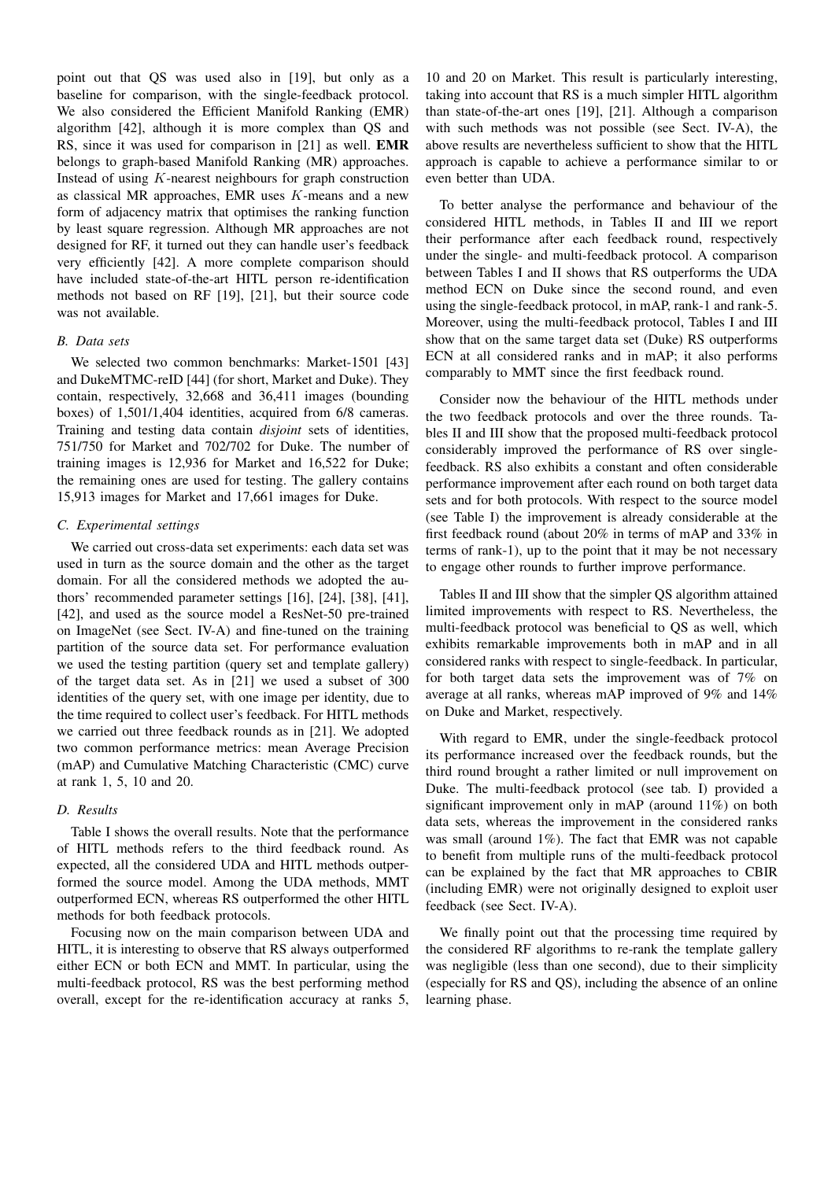point out that QS was used also in [19], but only as a baseline for comparison, with the single-feedback protocol. We also considered the Efficient Manifold Ranking (EMR) algorithm [42], although it is more complex than QS and RS, since it was used for comparison in [21] as well. EMR belongs to graph-based Manifold Ranking (MR) approaches. Instead of using K-nearest neighbours for graph construction as classical MR approaches, EMR uses K-means and a new form of adjacency matrix that optimises the ranking function by least square regression. Although MR approaches are not designed for RF, it turned out they can handle user's feedback very efficiently [42]. A more complete comparison should have included state-of-the-art HITL person re-identification methods not based on RF [19], [21], but their source code was not available.

## *B. Data sets*

We selected two common benchmarks: Market-1501 [43] and DukeMTMC-reID [44] (for short, Market and Duke). They contain, respectively, 32,668 and 36,411 images (bounding boxes) of 1,501/1,404 identities, acquired from 6/8 cameras. Training and testing data contain *disjoint* sets of identities, 751/750 for Market and 702/702 for Duke. The number of training images is 12,936 for Market and 16,522 for Duke; the remaining ones are used for testing. The gallery contains 15,913 images for Market and 17,661 images for Duke.

#### *C. Experimental settings*

We carried out cross-data set experiments: each data set was used in turn as the source domain and the other as the target domain. For all the considered methods we adopted the authors' recommended parameter settings [16], [24], [38], [41], [42], and used as the source model a ResNet-50 pre-trained on ImageNet (see Sect. IV-A) and fine-tuned on the training partition of the source data set. For performance evaluation we used the testing partition (query set and template gallery) of the target data set. As in [21] we used a subset of 300 identities of the query set, with one image per identity, due to the time required to collect user's feedback. For HITL methods we carried out three feedback rounds as in [21]. We adopted two common performance metrics: mean Average Precision (mAP) and Cumulative Matching Characteristic (CMC) curve at rank 1, 5, 10 and 20.

## *D. Results*

Table I shows the overall results. Note that the performance of HITL methods refers to the third feedback round. As expected, all the considered UDA and HITL methods outperformed the source model. Among the UDA methods, MMT outperformed ECN, whereas RS outperformed the other HITL methods for both feedback protocols.

Focusing now on the main comparison between UDA and HITL, it is interesting to observe that RS always outperformed either ECN or both ECN and MMT. In particular, using the multi-feedback protocol, RS was the best performing method overall, except for the re-identification accuracy at ranks 5,

10 and 20 on Market. This result is particularly interesting, taking into account that RS is a much simpler HITL algorithm than state-of-the-art ones [19], [21]. Although a comparison with such methods was not possible (see Sect. IV-A), the above results are nevertheless sufficient to show that the HITL approach is capable to achieve a performance similar to or even better than UDA.

To better analyse the performance and behaviour of the considered HITL methods, in Tables II and III we report their performance after each feedback round, respectively under the single- and multi-feedback protocol. A comparison between Tables I and II shows that RS outperforms the UDA method ECN on Duke since the second round, and even using the single-feedback protocol, in mAP, rank-1 and rank-5. Moreover, using the multi-feedback protocol, Tables I and III show that on the same target data set (Duke) RS outperforms ECN at all considered ranks and in mAP; it also performs comparably to MMT since the first feedback round.

Consider now the behaviour of the HITL methods under the two feedback protocols and over the three rounds. Tables II and III show that the proposed multi-feedback protocol considerably improved the performance of RS over singlefeedback. RS also exhibits a constant and often considerable performance improvement after each round on both target data sets and for both protocols. With respect to the source model (see Table I) the improvement is already considerable at the first feedback round (about 20% in terms of mAP and 33% in terms of rank-1), up to the point that it may be not necessary to engage other rounds to further improve performance.

Tables II and III show that the simpler QS algorithm attained limited improvements with respect to RS. Nevertheless, the multi-feedback protocol was beneficial to QS as well, which exhibits remarkable improvements both in mAP and in all considered ranks with respect to single-feedback. In particular, for both target data sets the improvement was of 7% on average at all ranks, whereas mAP improved of 9% and 14% on Duke and Market, respectively.

With regard to EMR, under the single-feedback protocol its performance increased over the feedback rounds, but the third round brought a rather limited or null improvement on Duke. The multi-feedback protocol (see tab. I) provided a significant improvement only in mAP (around 11%) on both data sets, whereas the improvement in the considered ranks was small (around 1%). The fact that EMR was not capable to benefit from multiple runs of the multi-feedback protocol can be explained by the fact that MR approaches to CBIR (including EMR) were not originally designed to exploit user feedback (see Sect. IV-A).

We finally point out that the processing time required by the considered RF algorithms to re-rank the template gallery was negligible (less than one second), due to their simplicity (especially for RS and QS), including the absence of an online learning phase.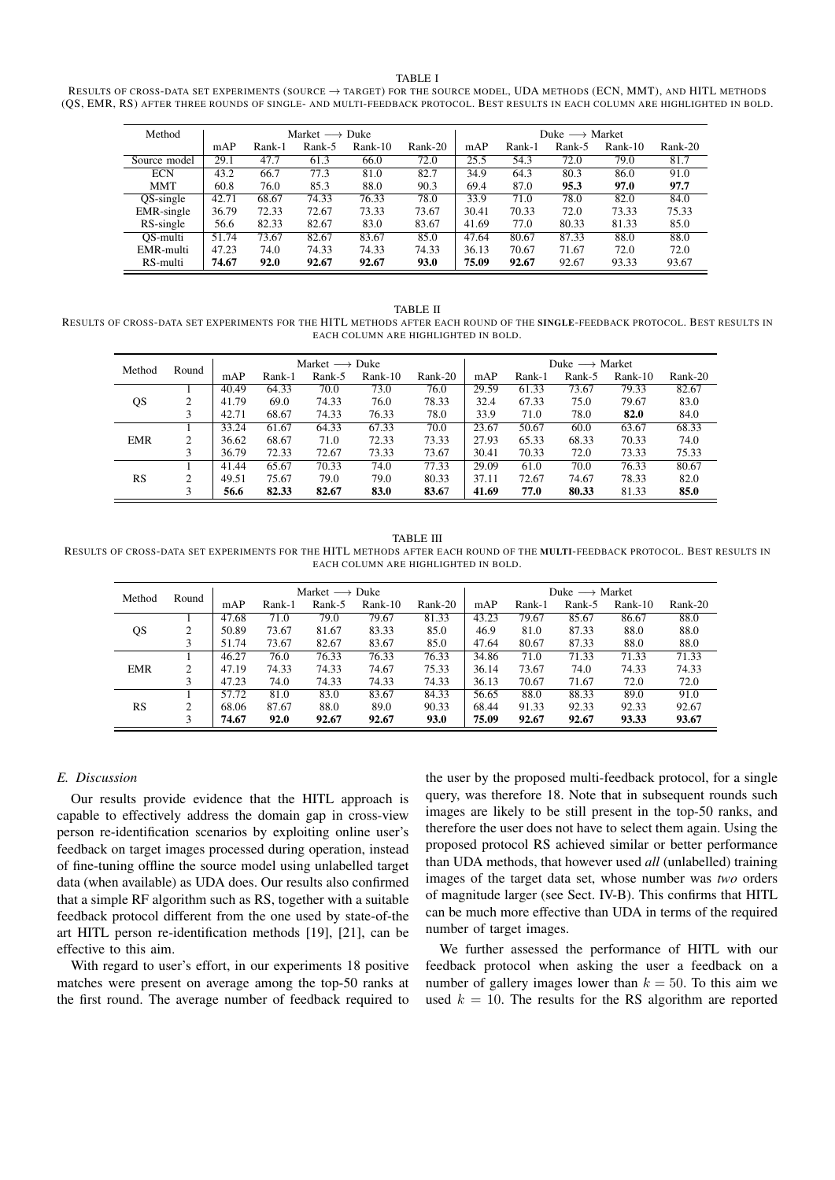TABLE I

RESULTS OF CROSS-DATA SET EXPERIMENTS (SOURCE  $\rightarrow$  TARGET) FOR THE SOURCE MODEL, UDA METHODS (ECN, MMT), AND HITL METHODS (QS, EMR, RS) AFTER THREE ROUNDS OF SINGLE- AND MULTI-FEEDBACK PROTOCOL. BEST RESULTS IN EACH COLUMN ARE HIGHLIGHTED IN BOLD.

| Method       | Market $\longrightarrow$ Duke |        |        |         |         |       | Duke $\longrightarrow$ Market |        |           |         |  |  |
|--------------|-------------------------------|--------|--------|---------|---------|-------|-------------------------------|--------|-----------|---------|--|--|
|              | mAP                           | Rank-1 | Rank-5 | Rank-10 | Rank-20 | mAP   | Rank-1                        | Rank-5 | $Rank-10$ | Rank-20 |  |  |
| Source model | 29.1                          | 47.7   | 61.3   | 66.0    | 72.0    | 25.5  | 54.3                          | 72.0   | 79.0      | 81.7    |  |  |
| <b>ECN</b>   | 43.2                          | 66.7   | 77.3   | 81.0    | 82.7    | 34.9  | 64.3                          | 80.3   | 86.0      | 91.0    |  |  |
| <b>MMT</b>   | 60.8                          | 76.0   | 85.3   | 88.0    | 90.3    | 69.4  | 87.0                          | 95.3   | 97.0      | 97.7    |  |  |
| QS-single    | 42.71                         | 68.67  | 74.33  | 76.33   | 78.0    | 33.9  | 71.0                          | 78.0   | 82.0      | 84.0    |  |  |
| EMR-single   | 36.79                         | 72.33  | 72.67  | 73.33   | 73.67   | 30.41 | 70.33                         | 72.0   | 73.33     | 75.33   |  |  |
| RS-single    | 56.6                          | 82.33  | 82.67  | 83.0    | 83.67   | 41.69 | 77.0                          | 80.33  | 81.33     | 85.0    |  |  |
| OS-multi     | 51.74                         | 73.67  | 82.67  | 83.67   | 85.0    | 47.64 | 80.67                         | 87.33  | 88.0      | 88.0    |  |  |
| EMR-multi    | 47.23                         | 74.0   | 74.33  | 74.33   | 74.33   | 36.13 | 70.67                         | 71.67  | 72.0      | 72.0    |  |  |
| RS-multi     | 74.67                         | 92.0   | 92.67  | 92.67   | 93.0    | 75.09 | 92.67                         | 92.67  | 93.33     | 93.67   |  |  |

#### TABLE II RESULTS OF CROSS-DATA SET EXPERIMENTS FOR THE HITL METHODS AFTER EACH ROUND OF THE SINGLE-FEEDBACK PROTOCOL. BEST RESULTS IN EACH COLUMN ARE HIGHLIGHTED IN BOLD.

| Method     | Round          | Market $\longrightarrow$ Duke |        |        |           |         |       | Duke $\longrightarrow$ Market |        |           |         |  |  |
|------------|----------------|-------------------------------|--------|--------|-----------|---------|-------|-------------------------------|--------|-----------|---------|--|--|
|            |                | mAP                           | Rank-1 | Rank-5 | $Rank-10$ | Rank-20 | mAP   | Rank-1                        | Rank-5 | $Rank-10$ | Rank-20 |  |  |
| QS         |                | 40.49                         | 64.33  | 70.0   | 73.0      | 76.0    | 29.59 | 61.33                         | 73.67  | 79.33     | 82.67   |  |  |
|            | ◠              | 41.79                         | 69.0   | 74.33  | 76.0      | 78.33   | 32.4  | 67.33                         | 75.0   | 79.67     | 83.0    |  |  |
|            | 3              | 42.71                         | 68.67  | 74.33  | 76.33     | 78.0    | 33.9  | 71.0                          | 78.0   | 82.0      | 84.0    |  |  |
| <b>EMR</b> |                | 33.24                         | 61.67  | 64.33  | 67.33     | 70.0    | 23.67 | 50.67                         | 60.0   | 63.67     | 68.33   |  |  |
|            | $\mathfrak{D}$ | 36.62                         | 68.67  | 71.0   | 72.33     | 73.33   | 27.93 | 65.33                         | 68.33  | 70.33     | 74.0    |  |  |
|            | 3              | 36.79                         | 72.33  | 72.67  | 73.33     | 73.67   | 30.41 | 70.33                         | 72.0   | 73.33     | 75.33   |  |  |
| RS         |                | 41.44                         | 65.67  | 70.33  | 74.0      | 77.33   | 29.09 | 61.0                          | 70.0   | 76.33     | 80.67   |  |  |
|            | ◠              | 49.51                         | 75.67  | 79.0   | 79.0      | 80.33   | 37.11 | 72.67                         | 74.67  | 78.33     | 82.0    |  |  |
|            | 3              | 56.6                          | 82.33  | 82.67  | 83.0      | 83.67   | 41.69 | 77.0                          | 80.33  | 81.33     | 85.0    |  |  |

TABLE III RESULTS OF CROSS-DATA SET EXPERIMENTS FOR THE HITL METHODS AFTER EACH ROUND OF THE MULTI-FEEDBACK PROTOCOL. BEST RESULTS IN EACH COLUMN ARE HIGHLIGHTED IN ROLD.

| Method     | Round                       | Market $\longrightarrow$ Duke |        |        |         |         |       | Duke $\longrightarrow$ Market |        |         |         |  |  |
|------------|-----------------------------|-------------------------------|--------|--------|---------|---------|-------|-------------------------------|--------|---------|---------|--|--|
|            |                             | mAP                           | Rank-1 | Rank-5 | Rank-10 | Rank-20 | mAP   | Rank-1                        | Rank-5 | Rank-10 | Rank-20 |  |  |
| QS         |                             | 47.68                         | 71.0   | 79.0   | 79.67   | 81.33   | 43.23 | 79.67                         | 85.67  | 86.67   | 88.0    |  |  |
|            | $\mathcal{D}_{\mathcal{L}}$ | 50.89                         | 73.67  | 81.67  | 83.33   | 85.0    | 46.9  | 81.0                          | 87.33  | 88.0    | 88.0    |  |  |
|            |                             | 51.74                         | 73.67  | 82.67  | 83.67   | 85.0    | 47.64 | 80.67                         | 87.33  | 88.0    | 88.0    |  |  |
|            |                             | 46.27                         | 76.0   | 76.33  | 76.33   | 76.33   | 34.86 | 71.0                          | 71.33  | 71.33   | 71.33   |  |  |
| <b>EMR</b> | $\mathcal{D}_{\mathcal{L}}$ | 47.19                         | 74.33  | 74.33  | 74.67   | 75.33   | 36.14 | 73.67                         | 74.0   | 74.33   | 74.33   |  |  |
|            | 3                           | 47.23                         | 74.0   | 74.33  | 74.33   | 74.33   | 36.13 | 70.67                         | 71.67  | 72.0    | 72.0    |  |  |
| RS         |                             | 57.72                         | 81.0   | 83.0   | 83.67   | 84.33   | 56.65 | 88.0                          | 88.33  | 89.0    | 91.0    |  |  |
|            | 2                           | 68.06                         | 87.67  | 88.0   | 89.0    | 90.33   | 68.44 | 91.33                         | 92.33  | 92.33   | 92.67   |  |  |
|            | 3                           | 74.67                         | 92.0   | 92.67  | 92.67   | 93.0    | 75.09 | 92.67                         | 92.67  | 93.33   | 93.67   |  |  |

# *E. Discussion*

Our results provide evidence that the HITL approach is capable to effectively address the domain gap in cross-view person re-identification scenarios by exploiting online user's feedback on target images processed during operation, instead of fine-tuning offline the source model using unlabelled target data (when available) as UDA does. Our results also confirmed that a simple RF algorithm such as RS, together with a suitable feedback protocol different from the one used by state-of-the art HITL person re-identification methods [19], [21], can be effective to this aim.

With regard to user's effort, in our experiments 18 positive matches were present on average among the top-50 ranks at the first round. The average number of feedback required to

the user by the proposed multi-feedback protocol, for a single query, was therefore 18. Note that in subsequent rounds such images are likely to be still present in the top-50 ranks, and therefore the user does not have to select them again. Using the proposed protocol RS achieved similar or better performance than UDA methods, that however used *all* (unlabelled) training images of the target data set, whose number was *two* orders of magnitude larger (see Sect. IV-B). This confirms that HITL can be much more effective than UDA in terms of the required number of target images.

We further assessed the performance of HITL with our feedback protocol when asking the user a feedback on a number of gallery images lower than  $k = 50$ . To this aim we used  $k = 10$ . The results for the RS algorithm are reported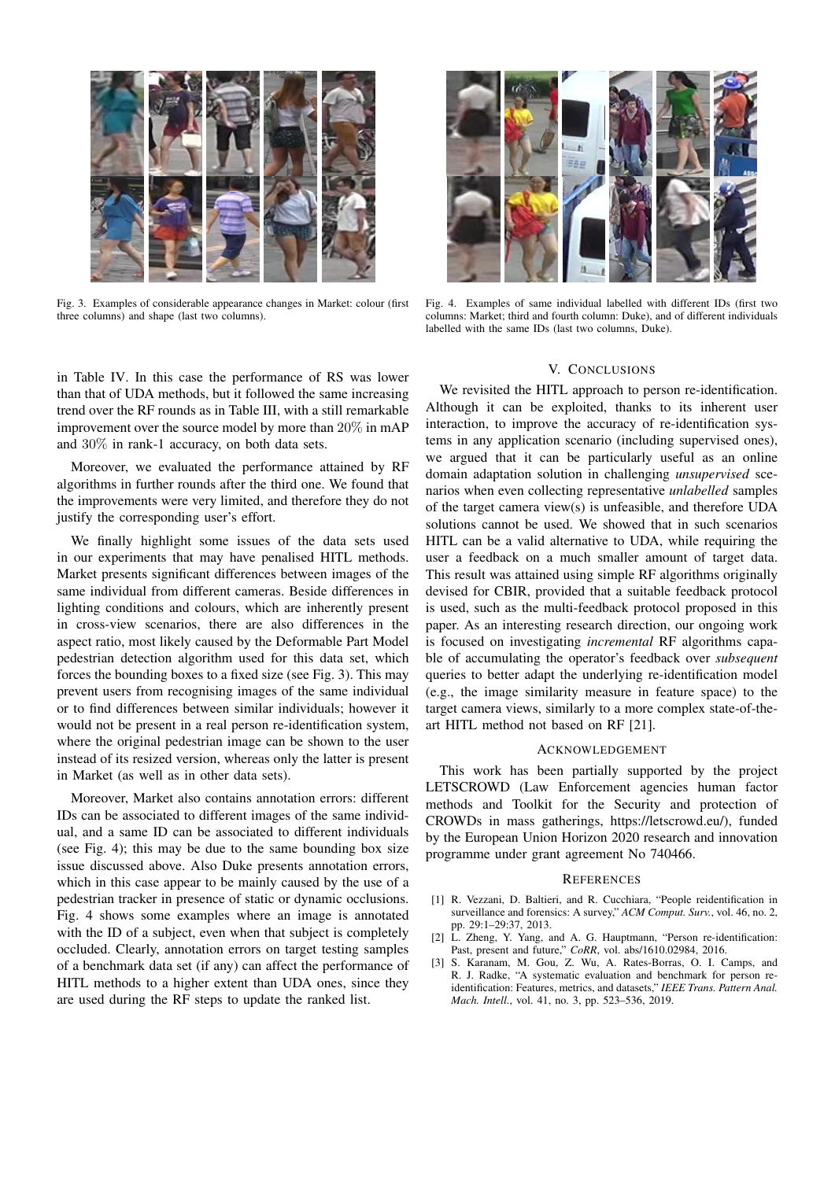

Fig. 3. Examples of considerable appearance changes in Market: colour (first three columns) and shape (last two columns).



Fig. 4. Examples of same individual labelled with different IDs (first two columns: Market; third and fourth column: Duke), and of different individuals labelled with the same IDs (last two columns, Duke).

#### V. CONCLUSIONS

in Table IV. In this case the performance of RS was lower than that of UDA methods, but it followed the same increasing trend over the RF rounds as in Table III, with a still remarkable improvement over the source model by more than 20% in mAP and 30% in rank-1 accuracy, on both data sets.

Moreover, we evaluated the performance attained by RF algorithms in further rounds after the third one. We found that the improvements were very limited, and therefore they do not justify the corresponding user's effort.

We finally highlight some issues of the data sets used in our experiments that may have penalised HITL methods. Market presents significant differences between images of the same individual from different cameras. Beside differences in lighting conditions and colours, which are inherently present in cross-view scenarios, there are also differences in the aspect ratio, most likely caused by the Deformable Part Model pedestrian detection algorithm used for this data set, which forces the bounding boxes to a fixed size (see Fig. 3). This may prevent users from recognising images of the same individual or to find differences between similar individuals; however it would not be present in a real person re-identification system, where the original pedestrian image can be shown to the user instead of its resized version, whereas only the latter is present in Market (as well as in other data sets).

Moreover, Market also contains annotation errors: different IDs can be associated to different images of the same individual, and a same ID can be associated to different individuals (see Fig. 4); this may be due to the same bounding box size issue discussed above. Also Duke presents annotation errors, which in this case appear to be mainly caused by the use of a pedestrian tracker in presence of static or dynamic occlusions. Fig. 4 shows some examples where an image is annotated with the ID of a subject, even when that subject is completely occluded. Clearly, annotation errors on target testing samples of a benchmark data set (if any) can affect the performance of HITL methods to a higher extent than UDA ones, since they are used during the RF steps to update the ranked list.

We revisited the HITL approach to person re-identification. Although it can be exploited, thanks to its inherent user interaction, to improve the accuracy of re-identification systems in any application scenario (including supervised ones), we argued that it can be particularly useful as an online domain adaptation solution in challenging *unsupervised* scenarios when even collecting representative *unlabelled* samples of the target camera view(s) is unfeasible, and therefore UDA solutions cannot be used. We showed that in such scenarios HITL can be a valid alternative to UDA, while requiring the user a feedback on a much smaller amount of target data. This result was attained using simple RF algorithms originally devised for CBIR, provided that a suitable feedback protocol is used, such as the multi-feedback protocol proposed in this paper. As an interesting research direction, our ongoing work is focused on investigating *incremental* RF algorithms capable of accumulating the operator's feedback over *subsequent* queries to better adapt the underlying re-identification model (e.g., the image similarity measure in feature space) to the target camera views, similarly to a more complex state-of-theart HITL method not based on RF [21].

#### ACKNOWLEDGEMENT

This work has been partially supported by the project LETSCROWD (Law Enforcement agencies human factor methods and Toolkit for the Security and protection of CROWDs in mass gatherings, https://letscrowd.eu/), funded by the European Union Horizon 2020 research and innovation programme under grant agreement No 740466.

#### **REFERENCES**

- [1] R. Vezzani, D. Baltieri, and R. Cucchiara, "People reidentification in surveillance and forensics: A survey," *ACM Comput. Surv.*, vol. 46, no. 2, pp. 29:1–29:37, 2013.
- [2] L. Zheng, Y. Yang, and A. G. Hauptmann, "Person re-identification: Past, present and future," *CoRR*, vol. abs/1610.02984, 2016.
- [3] S. Karanam, M. Gou, Z. Wu, A. Rates-Borras, O. I. Camps, and R. J. Radke, "A systematic evaluation and benchmark for person reidentification: Features, metrics, and datasets," *IEEE Trans. Pattern Anal. Mach. Intell.*, vol. 41, no. 3, pp. 523–536, 2019.